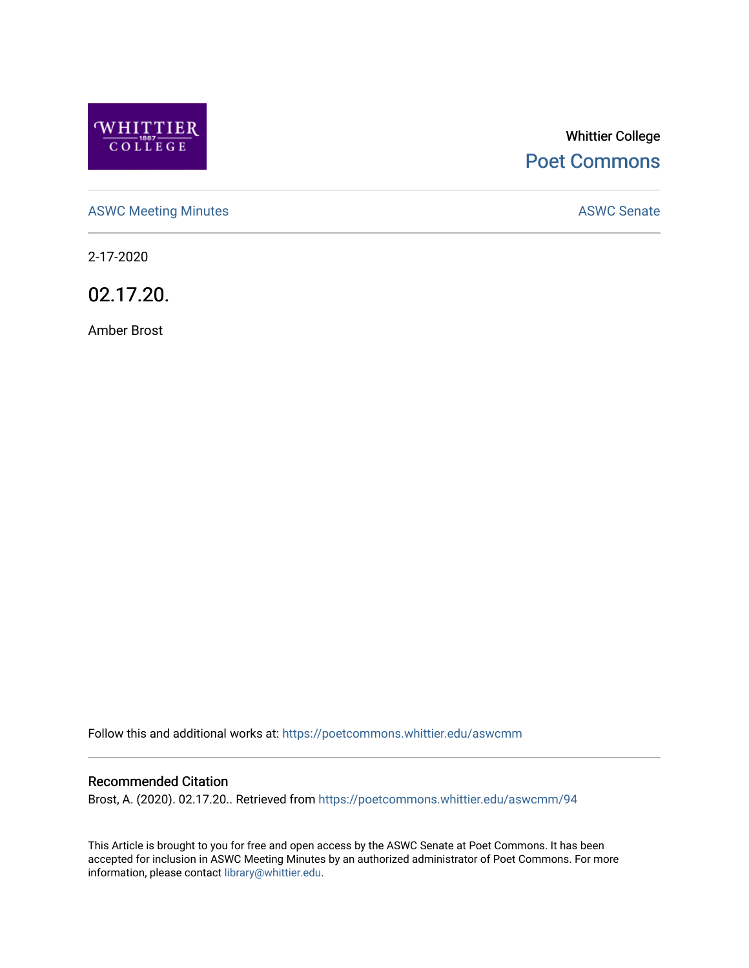

# Whittier College [Poet Commons](https://poetcommons.whittier.edu/)

[ASWC Meeting Minutes](https://poetcommons.whittier.edu/aswcmm) **ASWC Senate** 

2-17-2020

02.17.20.

Amber Brost

Follow this and additional works at: [https://poetcommons.whittier.edu/aswcmm](https://poetcommons.whittier.edu/aswcmm?utm_source=poetcommons.whittier.edu%2Faswcmm%2F94&utm_medium=PDF&utm_campaign=PDFCoverPages)

#### Recommended Citation

Brost, A. (2020). 02.17.20.. Retrieved from [https://poetcommons.whittier.edu/aswcmm/94](https://poetcommons.whittier.edu/aswcmm/94?utm_source=poetcommons.whittier.edu%2Faswcmm%2F94&utm_medium=PDF&utm_campaign=PDFCoverPages)

This Article is brought to you for free and open access by the ASWC Senate at Poet Commons. It has been accepted for inclusion in ASWC Meeting Minutes by an authorized administrator of Poet Commons. For more information, please contact [library@whittier.edu.](mailto:library@whittier.edu)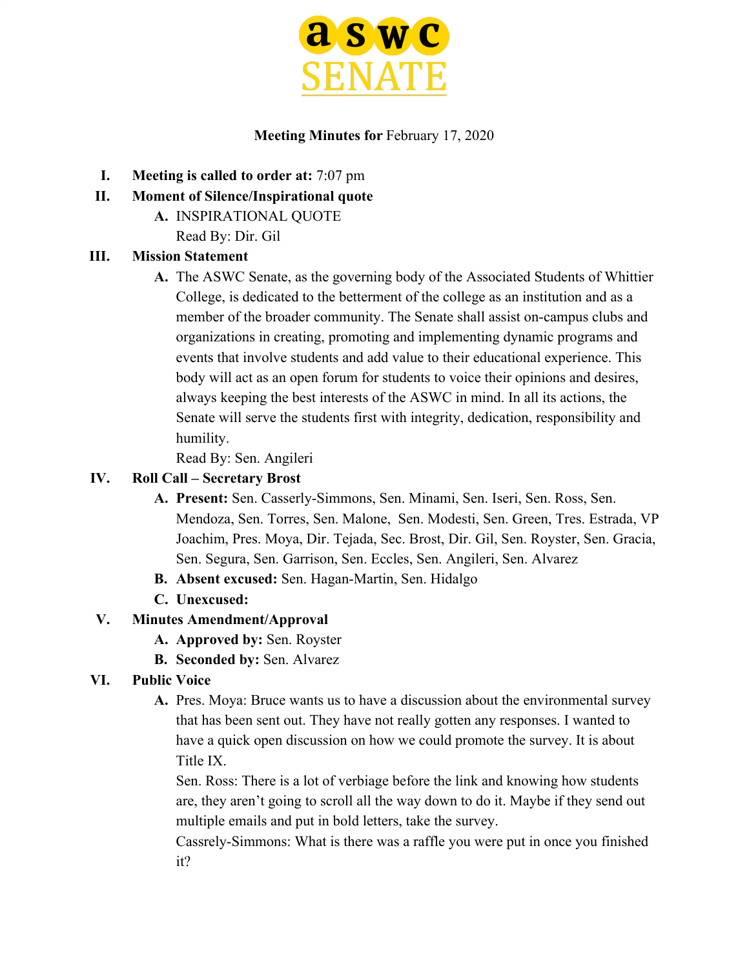

#### **Meeting Minutes for** February 17, 2020

- **I. Meeting is called to order at:** 7:07 pm
- **II. Moment of Silence/Inspirational quote**
	- **A.** INSPIRATIONAL QUOTE Read By: Dir. Gil

#### **III. Mission Statement**

**A.** The ASWC Senate, as the governing body of the Associated Students of Whittier College, is dedicated to the betterment of the college as an institution and as a member of the broader community. The Senate shall assist on-campus clubs and organizations in creating, promoting and implementing dynamic programs and events that involve students and add value to their educational experience. This body will act as an open forum for students to voice their opinions and desires, always keeping the best interests of the ASWC in mind. In all its actions, the Senate will serve the students first with integrity, dedication, responsibility and humility.

Read By: Sen. Angileri

#### **IV. Roll Call – Secretary Brost**

- **A. Present:** Sen. Casserly-Simmons, Sen. Minami, Sen. Iseri, Sen. Ross, Sen. Mendoza, Sen. Torres, Sen. Malone, Sen. Modesti, Sen. Green, Tres. Estrada, VP Joachim, Pres. Moya, Dir. Tejada, Sec. Brost, Dir. Gil, Sen. Royster, Sen. Gracia, Sen. Segura, Sen. Garrison, Sen. Eccles, Sen. Angileri, Sen. Alvarez
- **B. Absent excused:** Sen. Hagan-Martin, Sen. Hidalgo
- **C. Unexcused:**

### **V. Minutes Amendment/Approval**

- **A. Approved by:** Sen. Royster
- **B. Seconded by:** Sen. Alvarez

### **VI. Public Voice**

**A.** Pres. Moya: Bruce wants us to have a discussion about the environmental survey that has been sent out. They have not really gotten any responses. I wanted to have a quick open discussion on how we could promote the survey. It is about Title IX.

Sen. Ross: There is a lot of verbiage before the link and knowing how students are, they aren't going to scroll all the way down to do it. Maybe if they send out multiple emails and put in bold letters, take the survey.

Cassrely-Simmons: What is there was a raffle you were put in once you finished it?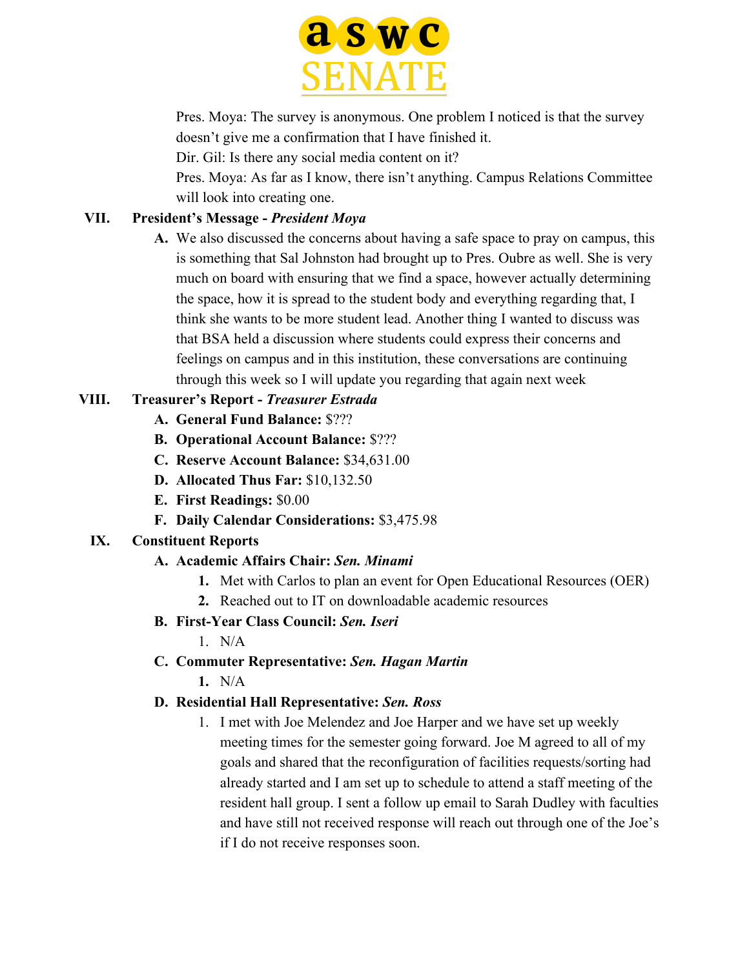

Pres. Moya: The survey is anonymous. One problem I noticed is that the survey doesn't give me a confirmation that I have finished it.

Dir. Gil: Is there any social media content on it?

Pres. Moya: As far as I know, there isn't anything. Campus Relations Committee will look into creating one.

### **VII. President's Message -** *President Moya*

**A.** We also discussed the concerns about having a safe space to pray on campus, this is something that Sal Johnston had brought up to Pres. Oubre as well. She is very much on board with ensuring that we find a space, however actually determining the space, how it is spread to the student body and everything regarding that, I think she wants to be more student lead. Another thing I wanted to discuss was that BSA held a discussion where students could express their concerns and feelings on campus and in this institution, these conversations are continuing through this week so I will update you regarding that again next week

### **VIII. Treasurer's Report -** *Treasurer Estrada*

- **A. General Fund Balance:** \$???
- **B. Operational Account Balance:** \$???
- **C. Reserve Account Balance:** \$34,631.00
- **D. Allocated Thus Far:** \$10,132.50
- **E. First Readings:** \$0.00
- **F. Daily Calendar Considerations:** \$3,475.98

### **IX. Constituent Reports**

- **A. Academic Affairs Chair:** *Sen. Minami*
	- **1.** Met with Carlos to plan an event for Open Educational Resources (OER)
	- **2.** Reached out to IT on downloadable academic resources
- **B. First-Year Class Council:** *Sen. Iseri*
	- 1. N/A
- **C. Commuter Representative:** *Sen. Hagan Martin*
	- **1.** N/A

### **D. Residential Hall Representative:** *Sen. Ross*

1. I met with Joe Melendez and Joe Harper and we have set up weekly meeting times for the semester going forward. Joe M agreed to all of my goals and shared that the reconfiguration of facilities requests/sorting had already started and I am set up to schedule to attend a staff meeting of the resident hall group. I sent a follow up email to Sarah Dudley with faculties and have still not received response will reach out through one of the Joe's if I do not receive responses soon.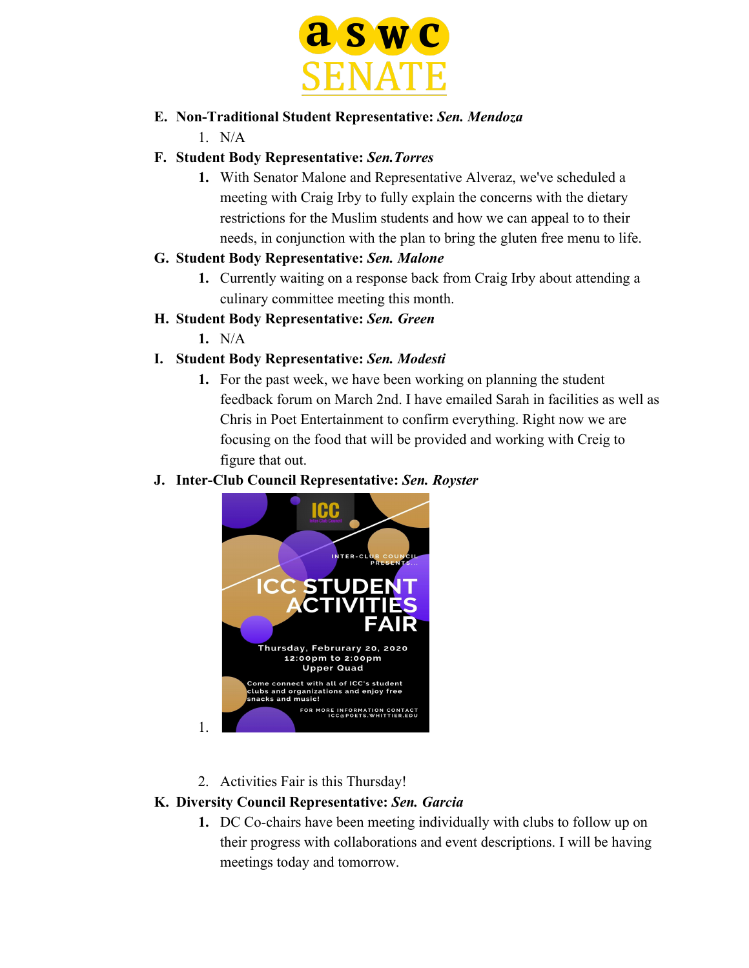

### **E. Non-Traditional Student Representative:** *Sen. Mendoza*

1. N/A

### **F. Student Body Representative:** *Sen.Torres*

**1.** With Senator Malone and Representative Alveraz, we've scheduled a meeting with Craig Irby to fully explain the concerns with the dietary restrictions for the Muslim students and how we can appeal to to their needs, in conjunction with the plan to bring the gluten free menu to life.

### **G. Student Body Representative:** *Sen. Malone*

- **1.** Currently waiting on a response back from Craig Irby about attending a culinary committee meeting this month.
- **H. Student Body Representative:** *Sen. Green*
	- **1.** N/A

1.

# **I. Student Body Representative:** *Sen. Modesti*

**1.** For the past week, we have been working on planning the student feedback forum on March 2nd. I have emailed Sarah in facilities as well as Chris in Poet Entertainment to confirm everything. Right now we are focusing on the food that will be provided and working with Creig to figure that out.

### **J. Inter-Club Council Representative:** *Sen. Royster*



2. Activities Fair is this Thursday!

# **K. Diversity Council Representative:** *Sen. Garcia*

**1.** DC Co-chairs have been meeting individually with clubs to follow up on their progress with collaborations and event descriptions. I will be having meetings today and tomorrow.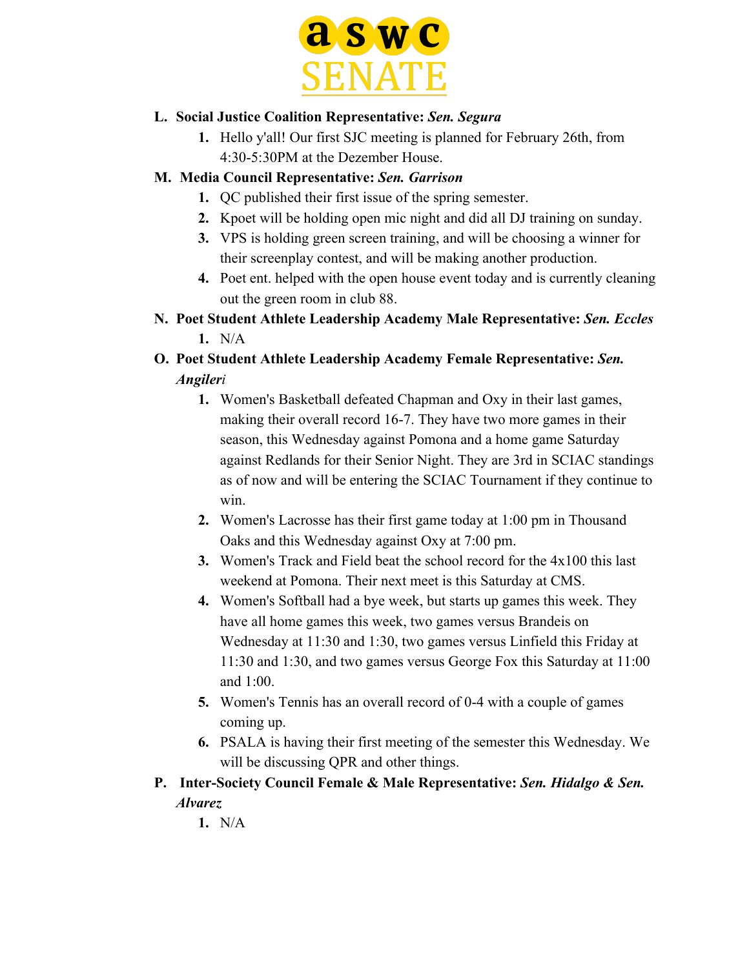

### **L. Social Justice Coalition Representative:** *Sen. Segura*

**1.** Hello y'all! Our first SJC meeting is planned for February 26th, from 4:30-5:30PM at the Dezember House.

### **M. Media Council Representative:** *Sen. Garrison*

- **1.** QC published their first issue of the spring semester.
- **2.** Kpoet will be holding open mic night and did all DJ training on sunday.
- **3.** VPS is holding green screen training, and will be choosing a winner for their screenplay contest, and will be making another production.
- **4.** Poet ent. helped with the open house event today and is currently cleaning out the green room in club 88.
- **N. Poet Student Athlete Leadership Academy Male Representative:** *Sen. Eccles* **1.** N/A
- **O. Poet Student Athlete Leadership Academy Female Representative:** *Sen. Angileri*
	- **1.** Women's Basketball defeated Chapman and Oxy in their last games, making their overall record 16-7. They have two more games in their season, this Wednesday against Pomona and a home game Saturday against Redlands for their Senior Night. They are 3rd in SCIAC standings as of now and will be entering the SCIAC Tournament if they continue to win.
	- **2.** Women's Lacrosse has their first game today at 1:00 pm in Thousand Oaks and this Wednesday against Oxy at 7:00 pm.
	- **3.** Women's Track and Field beat the school record for the 4x100 this last weekend at Pomona. Their next meet is this Saturday at CMS.
	- **4.** Women's Softball had a bye week, but starts up games this week. They have all home games this week, two games versus Brandeis on Wednesday at 11:30 and 1:30, two games versus Linfield this Friday at 11:30 and 1:30, and two games versus George Fox this Saturday at 11:00 and 1:00.
	- **5.** Women's Tennis has an overall record of 0-4 with a couple of games coming up.
	- **6.** PSALA is having their first meeting of the semester this Wednesday. We will be discussing QPR and other things.
- **P. Inter-Society Council Female & Male Representative:** *Sen. Hidalgo & Sen. Alvarez*

**1.** N/A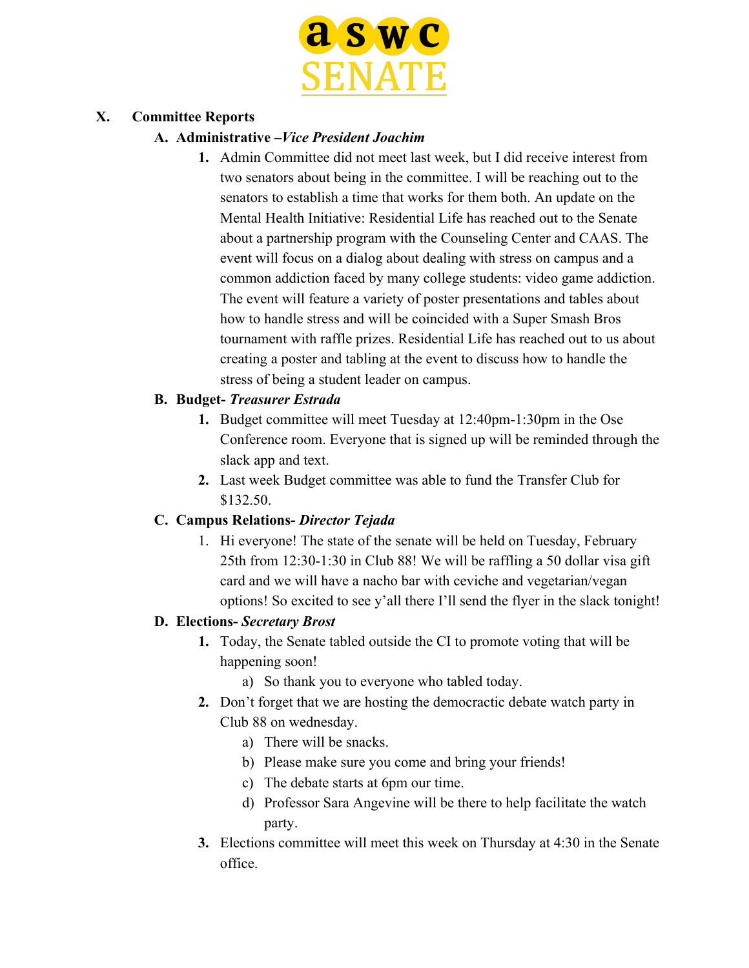

### **X. Committee Reports**

#### **A. Administrative –***Vice President Joachim*

**1.** Admin Committee did not meet last week, but I did receive interest from two senators about being in the committee. I will be reaching out to the senators to establish a time that works for them both. An update on the Mental Health Initiative: Residential Life has reached out to the Senate about a partnership program with the Counseling Center and CAAS. The event will focus on a dialog about dealing with stress on campus and a common addiction faced by many college students: video game addiction. The event will feature a variety of poster presentations and tables about how to handle stress and will be coincided with a Super Smash Bros tournament with raffle prizes. Residential Life has reached out to us about creating a poster and tabling at the event to discuss how to handle the stress of being a student leader on campus.

### **B. Budget-** *Treasurer Estrada*

- **1.** Budget committee will meet Tuesday at 12:40pm-1:30pm in the Ose Conference room. Everyone that is signed up will be reminded through the slack app and text.
- **2.** Last week Budget committee was able to fund the Transfer Club for \$132.50.

### **C. Campus Relations-** *Director Tejada*

1. Hi everyone! The state of the senate will be held on Tuesday, February 25th from 12:30-1:30 in Club 88! We will be raffling a 50 dollar visa gift card and we will have a nacho bar with ceviche and vegetarian/vegan options! So excited to see y'all there I'll send the flyer in the slack tonight!

### **D. Elections-** *Secretary Brost*

- **1.** Today, the Senate tabled outside the CI to promote voting that will be happening soon!
	- a) So thank you to everyone who tabled today.
- **2.** Don't forget that we are hosting the democractic debate watch party in Club 88 on wednesday.
	- a) There will be snacks.
	- b) Please make sure you come and bring your friends!
	- c) The debate starts at 6pm our time.
	- d) Professor Sara Angevine will be there to help facilitate the watch party.
- **3.** Elections committee will meet this week on Thursday at 4:30 in the Senate office.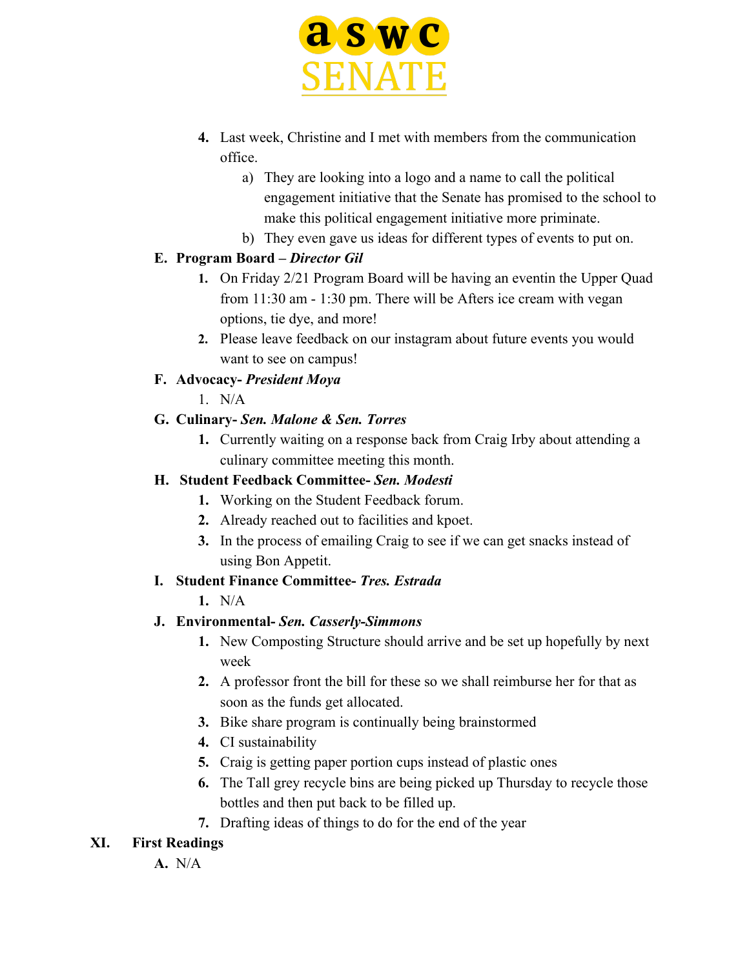

- **4.** Last week, Christine and I met with members from the communication office.
	- a) They are looking into a logo and a name to call the political engagement initiative that the Senate has promised to the school to make this political engagement initiative more priminate.
	- b) They even gave us ideas for different types of events to put on.

### **E. Program Board –** *Director Gil*

- **1.** On Friday 2/21 Program Board will be having an eventin the Upper Quad from 11:30 am - 1:30 pm. There will be Afters ice cream with vegan options, tie dye, and more!
- **2.** Please leave feedback on our instagram about future events you would want to see on campus!

### **F. Advocacy-** *President Moya*

1. N/A

# **G. Culinary-** *Sen. Malone & Sen. Torres*

**1.** Currently waiting on a response back from Craig Irby about attending a culinary committee meeting this month.

### **H. Student Feedback Committee-** *Sen. Modesti*

- **1.** Working on the Student Feedback forum.
- **2.** Already reached out to facilities and kpoet.
- **3.** In the process of emailing Craig to see if we can get snacks instead of using Bon Appetit.

# **I. Student Finance Committee-** *Tres. Estrada*

**1.** N/A

# **J. Environmental-** *Sen. Casserly-Simmons*

- **1.** New Composting Structure should arrive and be set up hopefully by next week
- **2.** A professor front the bill for these so we shall reimburse her for that as soon as the funds get allocated.
- **3.** Bike share program is continually being brainstormed
- **4.** CI sustainability
- **5.** Craig is getting paper portion cups instead of plastic ones
- **6.** The Tall grey recycle bins are being picked up Thursday to recycle those bottles and then put back to be filled up.
- **7.** Drafting ideas of things to do for the end of the year

# **XI. First Readings**

**A.** N/A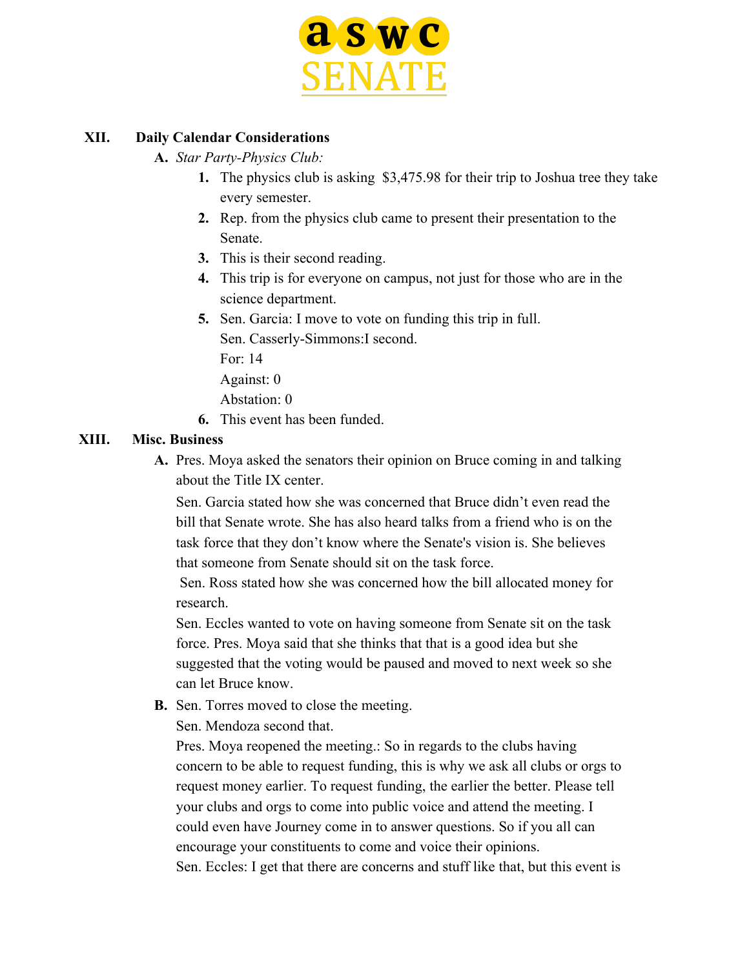

#### **XII. Daily Calendar Considerations**

- **A.** *Star Party-Physics Club:*
	- **1.** The physics club is asking \$3,475.98 for their trip to Joshua tree they take every semester.
	- **2.** Rep. from the physics club came to present their presentation to the Senate.
	- **3.** This is their second reading.
	- **4.** This trip is for everyone on campus, not just for those who are in the science department.
	- **5.** Sen. Garcia: I move to vote on funding this trip in full.
		- Sen. Casserly-Simmons:I second.
		- For: 14
		- Against: 0
		- Abstation: 0
	- **6.** This event has been funded.

#### **XIII. Misc. Business**

**A.** Pres. Moya asked the senators their opinion on Bruce coming in and talking about the Title IX center.

Sen. Garcia stated how she was concerned that Bruce didn't even read the bill that Senate wrote. She has also heard talks from a friend who is on the task force that they don't know where the Senate's vision is. She believes that someone from Senate should sit on the task force.

 Sen. Ross stated how she was concerned how the bill allocated money for research.

Sen. Eccles wanted to vote on having someone from Senate sit on the task force. Pres. Moya said that she thinks that that is a good idea but she suggested that the voting would be paused and moved to next week so she can let Bruce know.

- **B.** Sen. Torres moved to close the meeting.
	- Sen. Mendoza second that.

Pres. Moya reopened the meeting.: So in regards to the clubs having concern to be able to request funding, this is why we ask all clubs or orgs to request money earlier. To request funding, the earlier the better. Please tell your clubs and orgs to come into public voice and attend the meeting. I could even have Journey come in to answer questions. So if you all can encourage your constituents to come and voice their opinions. Sen. Eccles: I get that there are concerns and stuff like that, but this event is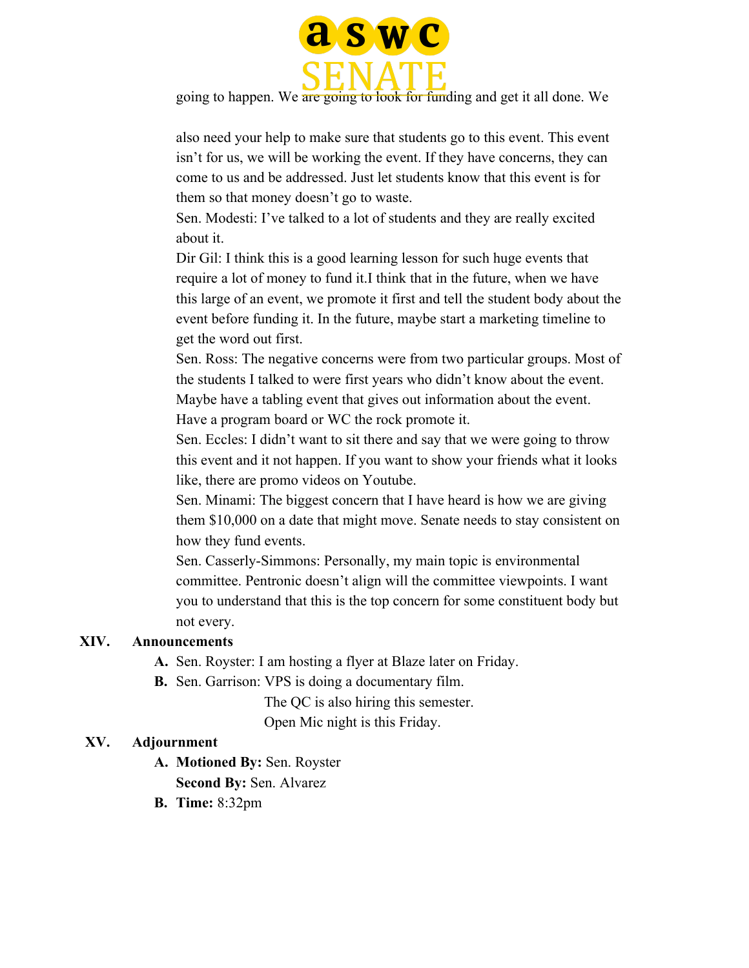

going to happen. We are going to look for funding and get it all done. We

also need your help to make sure that students go to this event. This event isn't for us, we will be working the event. If they have concerns, they can come to us and be addressed. Just let students know that this event is for them so that money doesn't go to waste.

Sen. Modesti: I've talked to a lot of students and they are really excited about it.

Dir Gil: I think this is a good learning lesson for such huge events that require a lot of money to fund it.I think that in the future, when we have this large of an event, we promote it first and tell the student body about the event before funding it. In the future, maybe start a marketing timeline to get the word out first.

Sen. Ross: The negative concerns were from two particular groups. Most of the students I talked to were first years who didn't know about the event. Maybe have a tabling event that gives out information about the event. Have a program board or WC the rock promote it.

Sen. Eccles: I didn't want to sit there and say that we were going to throw this event and it not happen. If you want to show your friends what it looks like, there are promo videos on Youtube.

Sen. Minami: The biggest concern that I have heard is how we are giving them \$10,000 on a date that might move. Senate needs to stay consistent on how they fund events.

Sen. Casserly-Simmons: Personally, my main topic is environmental committee. Pentronic doesn't align will the committee viewpoints. I want you to understand that this is the top concern for some constituent body but not every.

#### **XIV. Announcements**

- **A.** Sen. Royster: I am hosting a flyer at Blaze later on Friday.
- **B.** Sen. Garrison: VPS is doing a documentary film.

The QC is also hiring this semester.

Open Mic night is this Friday.

#### **XV. Adjournment**

- **A. Motioned By:** Sen. Royster
	- **Second By:** Sen. Alvarez
- **B. Time:** 8:32pm